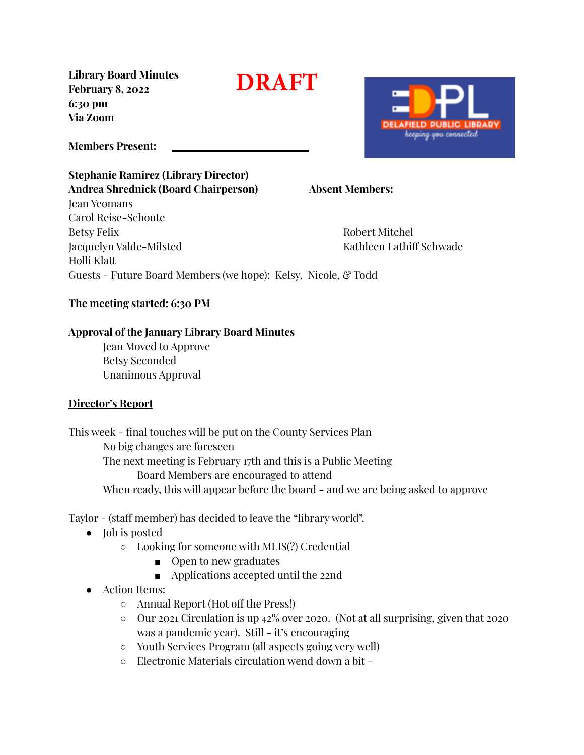**Library Board Minutes February 8, 2022 6:30 pm Via Zoom**

**DRAFT**

**Members Present:**

### **Stephanie Ramirez (Library Director) Andrea Shrednick (Board Chairperson) Absent Members:** Jean Yeomans

Carol Reise-Schoute Betsy Felix Robert Mitchel Jacquelyn Valde-Milsted Kathleen Lathiff Schwade Holli Klatt Guests - Future Board Members (we hope): Kelsy, Nicole, & Todd

### **The meeting started: 6:30 PM**

#### **Approval of the January Library Board Minutes**

Jean Moved to Approve Betsy Seconded Unanimous Approval

#### **Director's Report**

This week - final touches will be put on the County Services Plan No big changes are foreseen The next meeting is February 17th and this is a Public Meeting Board Members are encouraged to attend When ready, this will appear before the board - and we are being asked to approve

Taylor - (staff member) has decided to leave the "library world".

- Job is posted
	- Looking for someone with MLIS(?) Credential
		- Open to new graduates
		- Applications accepted until the 22nd
- Action Items:
	- Annual Report (Hot off the Press!)
	- Our 2021 Circulation is up 42% over 2020. (Not at all surprising, given that 2020 was a pandemic year). Still - it's encouraging
	- Youth Services Program (all aspects going very well)
	- Electronic Materials circulation wend down a bit -

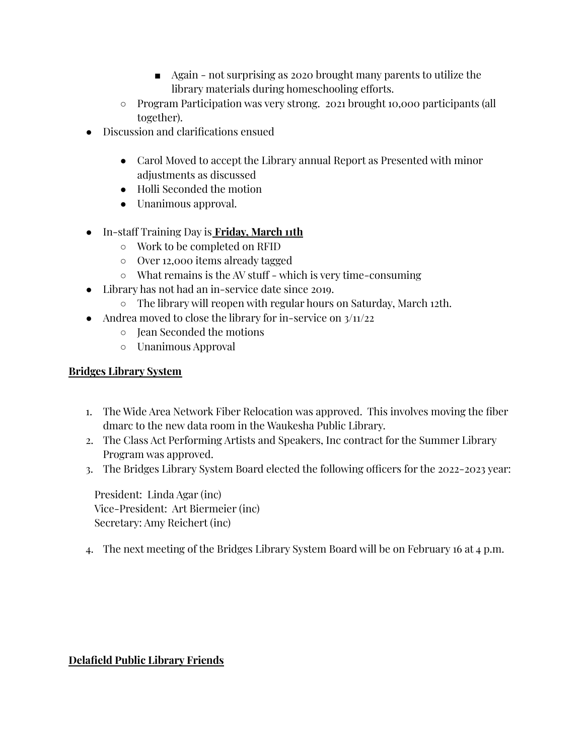- Again not surprising as 2020 brought many parents to utilize the library materials during homeschooling efforts.
- Program Participation was very strong. 2021 brought 10,000 participants (all together).
- Discussion and clarifications ensued
	- Carol Moved to accept the Library annual Report as Presented with minor adjustments as discussed
	- Holli Seconded the motion
	- Unanimous approval.
- In-staff Training Day is **Friday, March 11th**
	- Work to be completed on RFID
	- Over 12,000 items already tagged
	- What remains is the AV stuff which is very time-consuming
- Library has not had an in-service date since 2019.
	- The library will reopen with regular hours on Saturday, March 12th.
- Andrea moved to close the library for in-service on  $3/11/22$ 
	- Jean Seconded the motions
	- Unanimous Approval

### **Bridges Library System**

- 1. The Wide Area Network Fiber Relocation was approved. This involves moving the fiber dmarc to the new data room in the Waukesha Public Library.
- 2. The Class Act Performing Artists and Speakers, Inc contract for the Summer Library Program was approved.
- 3. The Bridges Library System Board elected the following officers for the 2022-2023 year:

President: Linda Agar (inc) Vice-President: Art Biermeier (inc) Secretary: Amy Reichert (inc)

4. The next meeting of the Bridges Library System Board will be on February 16 at 4 p.m.

# **Delafield Public Library Friends**